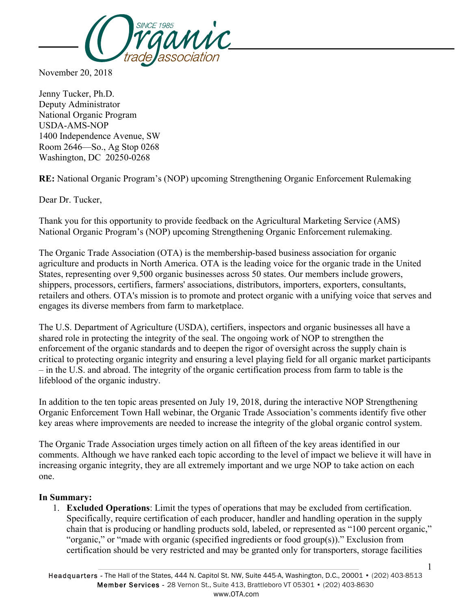

November 20, 2018

Jenny Tucker, Ph.D. Deputy Administrator National Organic Program USDA-AMS-NOP 1400 Independence Avenue, SW Room 2646—So., Ag Stop 0268 Washington, DC 20250-0268

**RE:** National Organic Program's (NOP) upcoming Strengthening Organic Enforcement Rulemaking

Dear Dr. Tucker,

Thank you for this opportunity to provide feedback on the Agricultural Marketing Service (AMS) National Organic Program's (NOP) upcoming Strengthening Organic Enforcement rulemaking.

The Organic Trade Association (OTA) is the membership-based business association for organic agriculture and products in North America. OTA is the leading voice for the organic trade in the United States, representing over 9,500 organic businesses across 50 states. Our members include growers, shippers, processors, certifiers, farmers' associations, distributors, importers, exporters, consultants, retailers and others. OTA's mission is to promote and protect organic with a unifying voice that serves and engages its diverse members from farm to marketplace.

The U.S. Department of Agriculture (USDA), certifiers, inspectors and organic businesses all have a shared role in protecting the integrity of the seal. The ongoing work of NOP to strengthen the enforcement of the organic standards and to deepen the rigor of oversight across the supply chain is critical to protecting organic integrity and ensuring a level playing field for all organic market participants – in the U.S. and abroad. The integrity of the organic certification process from farm to table is the lifeblood of the organic industry.

In addition to the ten topic areas presented on July 19, 2018, during the interactive NOP Strengthening Organic Enforcement Town Hall webinar, the Organic Trade Association's comments identify five other key areas where improvements are needed to increase the integrity of the global organic control system.

The Organic Trade Association urges timely action on all fifteen of the key areas identified in our comments. Although we have ranked each topic according to the level of impact we believe it will have in increasing organic integrity, they are all extremely important and we urge NOP to take action on each one.

#### **In Summary:**

1. **Excluded Operations**: Limit the types of operations that may be excluded from certification. Specifically, require certification of each producer, handler and handling operation in the supply chain that is producing or handling products sold, labeled, or represented as "100 percent organic," "organic," or "made with organic (specified ingredients or food group(s))." Exclusion from certification should be very restricted and may be granted only for transporters, storage facilities

1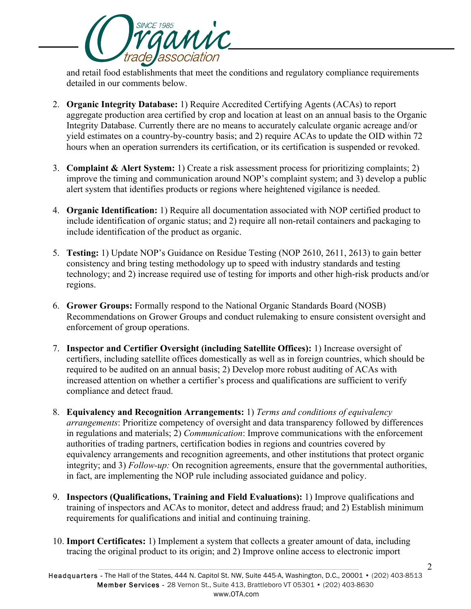

and retail food establishments that meet the conditions and regulatory compliance requirements detailed in our comments below.

- 2. **Organic Integrity Database:** 1) Require Accredited Certifying Agents (ACAs) to report aggregate production area certified by crop and location at least on an annual basis to the Organic Integrity Database. Currently there are no means to accurately calculate organic acreage and/or yield estimates on a country-by-country basis; and 2) require ACAs to update the OID within 72 hours when an operation surrenders its certification, or its certification is suspended or revoked.
- 3. **Complaint & Alert System:** 1) Create a risk assessment process for prioritizing complaints; 2) improve the timing and communication around NOP's complaint system; and 3) develop a public alert system that identifies products or regions where heightened vigilance is needed.
- 4. **Organic Identification:** 1) Require all documentation associated with NOP certified product to include identification of organic status; and 2) require all non-retail containers and packaging to include identification of the product as organic.
- 5. **Testing:** 1) Update NOP's Guidance on Residue Testing (NOP 2610, 2611, 2613) to gain better consistency and bring testing methodology up to speed with industry standards and testing technology; and 2) increase required use of testing for imports and other high-risk products and/or regions.
- 6. **Grower Groups:** Formally respond to the National Organic Standards Board (NOSB) Recommendations on Grower Groups and conduct rulemaking to ensure consistent oversight and enforcement of group operations.
- 7. **Inspector and Certifier Oversight (including Satellite Offices):** 1) Increase oversight of certifiers, including satellite offices domestically as well as in foreign countries, which should be required to be audited on an annual basis; 2) Develop more robust auditing of ACAs with increased attention on whether a certifier's process and qualifications are sufficient to verify compliance and detect fraud.
- 8. **Equivalency and Recognition Arrangements:** 1) *Terms and conditions of equivalency arrangements*: Prioritize competency of oversight and data transparency followed by differences in regulations and materials; 2) *Communication*: Improve communications with the enforcement authorities of trading partners, certification bodies in regions and countries covered by equivalency arrangements and recognition agreements, and other institutions that protect organic integrity; and 3) *Follow-up:* On recognition agreements, ensure that the governmental authorities, in fact, are implementing the NOP rule including associated guidance and policy.
- 9. **Inspectors (Qualifications, Training and Field Evaluations):** 1) Improve qualifications and training of inspectors and ACAs to monitor, detect and address fraud; and 2) Establish minimum requirements for qualifications and initial and continuing training.
- 10. **Import Certificates:** 1) Implement a system that collects a greater amount of data, including tracing the original product to its origin; and 2) Improve online access to electronic import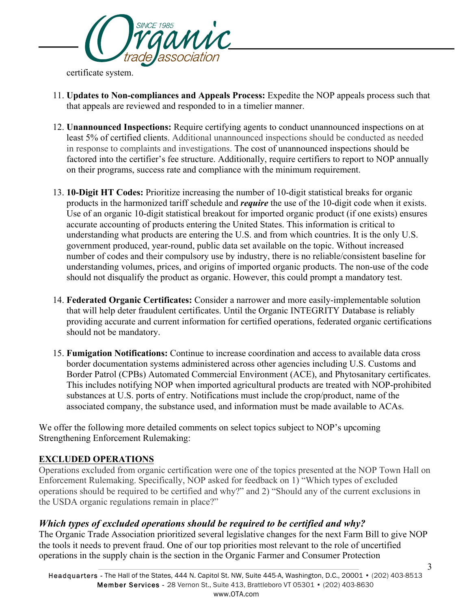

certificate system.

- 11. **Updates to Non-compliances and Appeals Process:** Expedite the NOP appeals process such that that appeals are reviewed and responded to in a timelier manner.
- 12. **Unannounced Inspections:** Require certifying agents to conduct unannounced inspections on at least 5% of certified clients. Additional unannounced inspections should be conducted as needed in response to complaints and investigations. The cost of unannounced inspections should be factored into the certifier's fee structure. Additionally, require certifiers to report to NOP annually on their programs, success rate and compliance with the minimum requirement.
- 13. **10-Digit HT Codes:** Prioritize increasing the number of 10-digit statistical breaks for organic products in the harmonized tariff schedule and *require* the use of the 10-digit code when it exists. Use of an organic 10-digit statistical breakout for imported organic product (if one exists) ensures accurate accounting of products entering the United States. This information is critical to understanding what products are entering the U.S. and from which countries. It is the only U.S. government produced, year-round, public data set available on the topic. Without increased number of codes and their compulsory use by industry, there is no reliable/consistent baseline for understanding volumes, prices, and origins of imported organic products. The non-use of the code should not disqualify the product as organic. However, this could prompt a mandatory test.
- 14. **Federated Organic Certificates:** Consider a narrower and more easily-implementable solution that will help deter fraudulent certificates. Until the Organic INTEGRITY Database is reliably providing accurate and current information for certified operations, federated organic certifications should not be mandatory.
- 15. **Fumigation Notifications:** Continue to increase coordination and access to available data cross border documentation systems administered across other agencies including U.S. Customs and Border Patrol (CPBs) Automated Commercial Environment (ACE), and Phytosanitary certificates. This includes notifying NOP when imported agricultural products are treated with NOP-prohibited substances at U.S. ports of entry. Notifications must include the crop/product, name of the associated company, the substance used, and information must be made available to ACAs.

We offer the following more detailed comments on select topics subject to NOP's upcoming Strengthening Enforcement Rulemaking:

## **EXCLUDED OPERATIONS**

Operations excluded from organic certification were one of the topics presented at the NOP Town Hall on Enforcement Rulemaking. Specifically, NOP asked for feedback on 1) "Which types of excluded operations should be required to be certified and why?" and 2) "Should any of the current exclusions in the USDA organic regulations remain in place?"

## *Which types of excluded operations should be required to be certified and why?*

The Organic Trade Association prioritized several legislative changes for the next Farm Bill to give NOP the tools it needs to prevent fraud. One of our top priorities most relevant to the role of uncertified operations in the supply chain is the section in the Organic Farmer and Consumer Protection

3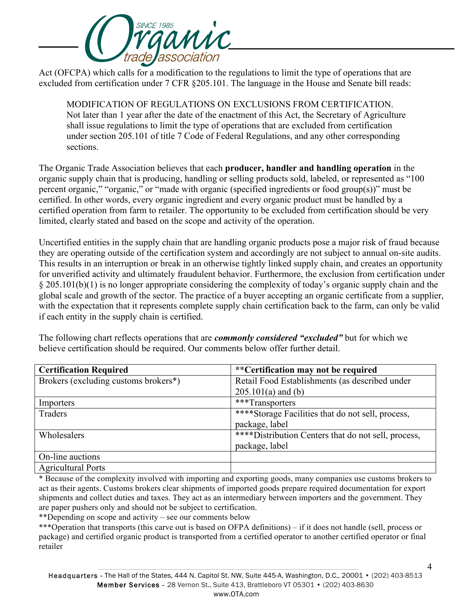

Act (OFCPA) which calls for a modification to the regulations to limit the type of operations that are excluded from certification under 7 CFR §205.101. The language in the House and Senate bill reads:

MODIFICATION OF REGULATIONS ON EXCLUSIONS FROM CERTIFICATION. Not later than 1 year after the date of the enactment of this Act, the Secretary of Agriculture shall issue regulations to limit the type of operations that are excluded from certification under section 205.101 of title 7 Code of Federal Regulations, and any other corresponding sections.

The Organic Trade Association believes that each **producer, handler and handling operation** in the organic supply chain that is producing, handling or selling products sold, labeled, or represented as "100 percent organic," "organic," or "made with organic (specified ingredients or food group(s))" must be certified. In other words, every organic ingredient and every organic product must be handled by a certified operation from farm to retailer. The opportunity to be excluded from certification should be very limited, clearly stated and based on the scope and activity of the operation.

Uncertified entities in the supply chain that are handling organic products pose a major risk of fraud because they are operating outside of the certification system and accordingly are not subject to annual on-site audits. This results in an interruption or break in an otherwise tightly linked supply chain, and creates an opportunity for unverified activity and ultimately fraudulent behavior. Furthermore, the exclusion from certification under § 205.101(b)(1) is no longer appropriate considering the complexity of today's organic supply chain and the global scale and growth of the sector. The practice of a buyer accepting an organic certificate from a supplier, with the expectation that it represents complete supply chain certification back to the farm, can only be valid if each entity in the supply chain is certified.

The following chart reflects operations that are *commonly considered "excluded"* but for which we believe certification should be required. Our comments below offer further detail.

| <b>Certification Required</b>        | **Certification may not be required                 |
|--------------------------------------|-----------------------------------------------------|
| Brokers (excluding customs brokers*) | Retail Food Establishments (as described under      |
|                                      | $205.101(a)$ and (b)                                |
| Importers                            | ***Transporters                                     |
| Traders                              | ****Storage Facilities that do not sell, process,   |
|                                      | package, label                                      |
| Wholesalers                          | ****Distribution Centers that do not sell, process, |
|                                      | package, label                                      |
| On-line auctions                     |                                                     |
| <b>Agricultural Ports</b>            |                                                     |

\* Because of the complexity involved with importing and exporting goods, many companies use customs brokers to act as their agents. Customs brokers clear shipments of imported goods prepare required documentation for export shipments and collect duties and taxes. They act as an intermediary between importers and the government. They are paper pushers only and should not be subject to certification.

\*\*Depending on scope and activity – see our comments below

\*\*\*Operation that transports (this carve out is based on OFPA definitions) – if it does not handle (sell, process or package) and certified organic product is transported from a certified operator to another certified operator or final retailer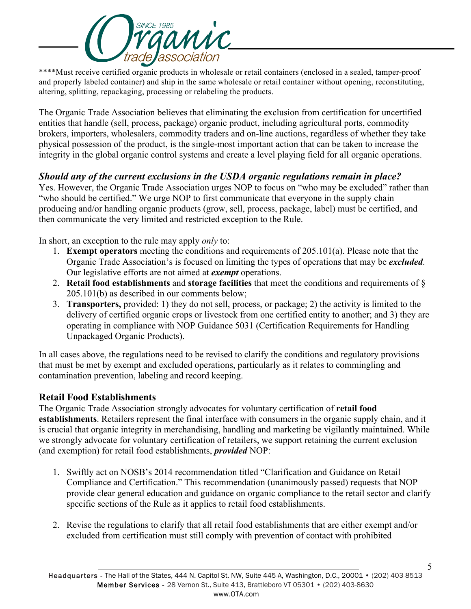

\*\*\*\*Must receive certified organic products in wholesale or retail containers (enclosed in a sealed, tamper-proof and properly labeled container) and ship in the same wholesale or retail container without opening, reconstituting, altering, splitting, repackaging, processing or relabeling the products.

The Organic Trade Association believes that eliminating the exclusion from certification for uncertified entities that handle (sell, process, package) organic product, including agricultural ports, commodity brokers, importers, wholesalers, commodity traders and on-line auctions, regardless of whether they take physical possession of the product, is the single-most important action that can be taken to increase the integrity in the global organic control systems and create a level playing field for all organic operations.

### *Should any of the current exclusions in the USDA organic regulations remain in place?*

Yes. However, the Organic Trade Association urges NOP to focus on "who may be excluded" rather than "who should be certified." We urge NOP to first communicate that everyone in the supply chain producing and/or handling organic products (grow, sell, process, package, label) must be certified, and then communicate the very limited and restricted exception to the Rule.

In short, an exception to the rule may apply *only* to:

- 1. **Exempt operators** meeting the conditions and requirements of 205.101(a). Please note that the Organic Trade Association's is focused on limiting the types of operations that may be *excluded*. Our legislative efforts are not aimed at *exempt* operations.
- 2. **Retail food establishments** and **storage facilities** that meet the conditions and requirements of § 205.101(b) as described in our comments below;
- 3. **Transporters,** provided: 1) they do not sell, process, or package; 2) the activity is limited to the delivery of certified organic crops or livestock from one certified entity to another; and 3) they are operating in compliance with NOP Guidance 5031 (Certification Requirements for Handling Unpackaged Organic Products).

In all cases above, the regulations need to be revised to clarify the conditions and regulatory provisions that must be met by exempt and excluded operations, particularly as it relates to commingling and contamination prevention, labeling and record keeping.

### **Retail Food Establishments**

The Organic Trade Association strongly advocates for voluntary certification of **retail food establishments**. Retailers represent the final interface with consumers in the organic supply chain, and it is crucial that organic integrity in merchandising, handling and marketing be vigilantly maintained. While we strongly advocate for voluntary certification of retailers, we support retaining the current exclusion (and exemption) for retail food establishments, *provided* NOP:

- 1. Swiftly act on NOSB's 2014 recommendation titled "Clarification and Guidance on Retail Compliance and Certification." This recommendation (unanimously passed) requests that NOP provide clear general education and guidance on organic compliance to the retail sector and clarify specific sections of the Rule as it applies to retail food establishments.
- 2. Revise the regulations to clarify that all retail food establishments that are either exempt and/or excluded from certification must still comply with prevention of contact with prohibited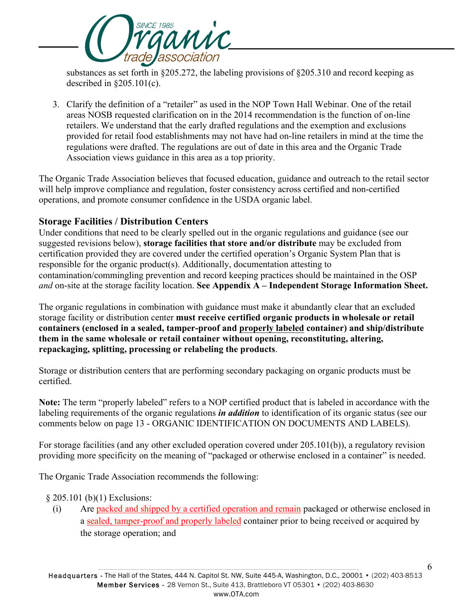

substances as set forth in §205.272, the labeling provisions of §205.310 and record keeping as described in  $§205.101(c)$ .

3. Clarify the definition of a "retailer" as used in the NOP Town Hall Webinar. One of the retail areas NOSB requested clarification on in the 2014 recommendation is the function of on-line retailers. We understand that the early drafted regulations and the exemption and exclusions provided for retail food establishments may not have had on-line retailers in mind at the time the regulations were drafted. The regulations are out of date in this area and the Organic Trade Association views guidance in this area as a top priority.

The Organic Trade Association believes that focused education, guidance and outreach to the retail sector will help improve compliance and regulation, foster consistency across certified and non-certified operations, and promote consumer confidence in the USDA organic label.

### **Storage Facilities / Distribution Centers**

Under conditions that need to be clearly spelled out in the organic regulations and guidance (see our suggested revisions below), **storage facilities that store and/or distribute** may be excluded from certification provided they are covered under the certified operation's Organic System Plan that is responsible for the organic product(s). Additionally, documentation attesting to contamination/commingling prevention and record keeping practices should be maintained in the OSP *and* on-site at the storage facility location. **See Appendix A – Independent Storage Information Sheet.** 

The organic regulations in combination with guidance must make it abundantly clear that an excluded storage facility or distribution center **must receive certified organic products in wholesale or retail containers (enclosed in a sealed, tamper-proof and properly labeled container) and ship/distribute them in the same wholesale or retail container without opening, reconstituting, altering, repackaging, splitting, processing or relabeling the products**.

Storage or distribution centers that are performing secondary packaging on organic products must be certified.

**Note:** The term "properly labeled" refers to a NOP certified product that is labeled in accordance with the labeling requirements of the organic regulations *in addition* to identification of its organic status (see our comments below on page 13 - ORGANIC IDENTIFICATION ON DOCUMENTS AND LABELS).

For storage facilities (and any other excluded operation covered under 205.101(b)), a regulatory revision providing more specificity on the meaning of "packaged or otherwise enclosed in a container" is needed.

The Organic Trade Association recommends the following:

- § 205.101 (b)(1) Exclusions:
	- (i) Are packed and shipped by a certified operation and remain packaged or otherwise enclosed in a sealed, tamper-proof and properly labeled container prior to being received or acquired by the storage operation; and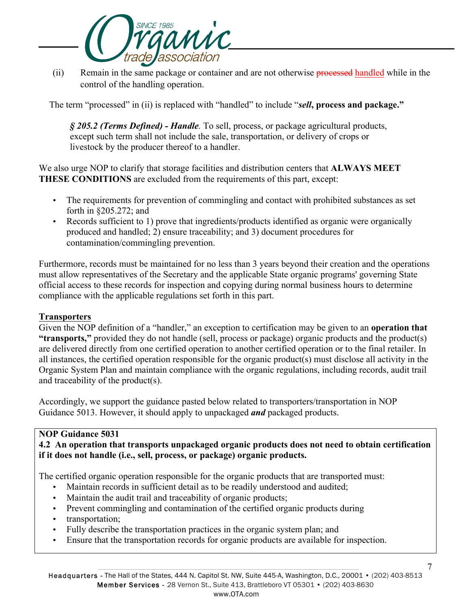

(ii) Remain in the same package or container and are not otherwise processed handled while in the control of the handling operation.

The term "processed" in (ii) is replaced with "handled" to include "*sell***, process and package."**

*§ 205.2 (Terms Defined) - Handle.* To sell, process, or package agricultural products, except such term shall not include the sale, transportation, or delivery of crops or livestock by the producer thereof to a handler.

We also urge NOP to clarify that storage facilities and distribution centers that **ALWAYS MEET THESE CONDITIONS** are excluded from the requirements of this part, except:

- The requirements for prevention of commingling and contact with prohibited substances as set forth in §205.272; and
- Records sufficient to 1) prove that ingredients/products identified as organic were organically produced and handled; 2) ensure traceability; and 3) document procedures for contamination/commingling prevention.

Furthermore, records must be maintained for no less than 3 years beyond their creation and the operations must allow representatives of the Secretary and the applicable State organic programs' governing State official access to these records for inspection and copying during normal business hours to determine compliance with the applicable regulations set forth in this part.

#### **Transporters**

Given the NOP definition of a "handler," an exception to certification may be given to an **operation that "transports,"** provided they do not handle (sell, process or package) organic products and the product(s) are delivered directly from one certified operation to another certified operation or to the final retailer. In all instances, the certified operation responsible for the organic product(s) must disclose all activity in the Organic System Plan and maintain compliance with the organic regulations, including records, audit trail and traceability of the product(s).

Accordingly, we support the guidance pasted below related to transporters/transportation in NOP Guidance 5013. However, it should apply to unpackaged *and* packaged products.

### **NOP Guidance 5031**

#### **4.2 An operation that transports unpackaged organic products does not need to obtain certification if it does not handle (i.e., sell, process, or package) organic products.**

The certified organic operation responsible for the organic products that are transported must:

- Maintain records in sufficient detail as to be readily understood and audited;
- Maintain the audit trail and traceability of organic products;
- Prevent commingling and contamination of the certified organic products during
- transportation;
- Fully describe the transportation practices in the organic system plan; and
- Ensure that the transportation records for organic products are available for inspection.

7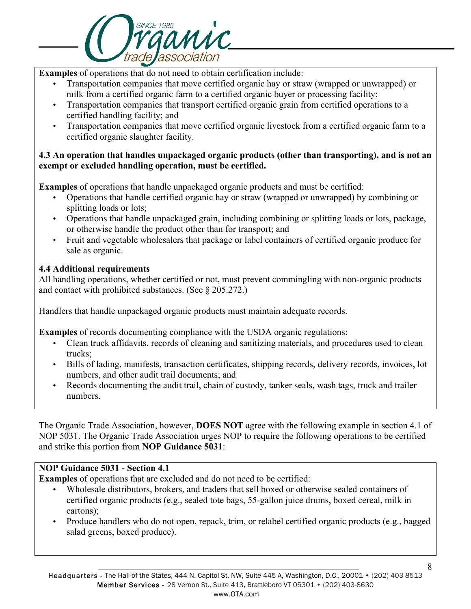

l **Examples** of operations that do not need to obtain certification include:

- Transportation companies that move certified organic hay or straw (wrapped or unwrapped) or milk from a certified organic farm to a certified organic buyer or processing facility;
- Transportation companies that transport certified organic grain from certified operations to a certified handling facility; and
- Transportation companies that move certified organic livestock from a certified organic farm to a certified organic slaughter facility.

#### **4.3 An operation that handles unpackaged organic products (other than transporting), and is not an exempt or excluded handling operation, must be certified.**

**Examples** of operations that handle unpackaged organic products and must be certified:

- Operations that handle certified organic hay or straw (wrapped or unwrapped) by combining or splitting loads or lots;
- Operations that handle unpackaged grain, including combining or splitting loads or lots, package, or otherwise handle the product other than for transport; and
- Fruit and vegetable wholesalers that package or label containers of certified organic produce for sale as organic.

#### **4.4 Additional requirements**

All handling operations, whether certified or not, must prevent commingling with non-organic products and contact with prohibited substances. (See § 205.272.)

Handlers that handle unpackaged organic products must maintain adequate records.

**Examples** of records documenting compliance with the USDA organic regulations:

- Clean truck affidavits, records of cleaning and sanitizing materials, and procedures used to clean trucks;
- Bills of lading, manifests, transaction certificates, shipping records, delivery records, invoices, lot numbers, and other audit trail documents; and
- Records documenting the audit trail, chain of custody, tanker seals, wash tags, truck and trailer numbers.

The Organic Trade Association, however, **DOES NOT** agree with the following example in section 4.1 of NOP 5031. The Organic Trade Association urges NOP to require the following operations to be certified and strike this portion from **NOP Guidance 5031**:

### **NOP Guidance 5031 - Section 4.1**

**Examples** of operations that are excluded and do not need to be certified:

- Wholesale distributors, brokers, and traders that sell boxed or otherwise sealed containers of certified organic products (e.g., sealed tote bags, 55-gallon juice drums, boxed cereal, milk in cartons);
- Produce handlers who do not open, repack, trim, or relabel certified organic products (e.g., bagged salad greens, boxed produce).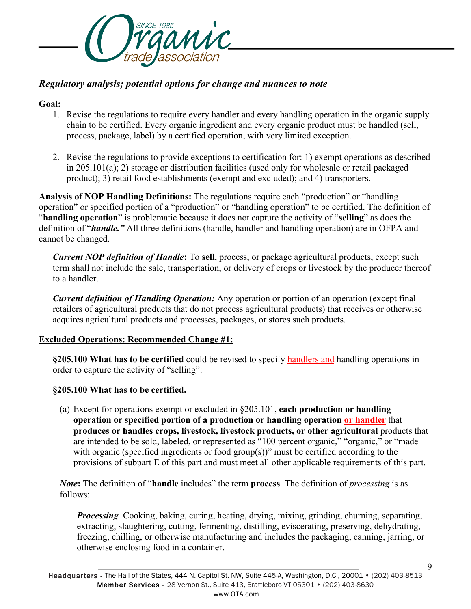

## *Regulatory analysis; potential options for change and nuances to note*

#### **Goal:**

- 1. Revise the regulations to require every handler and every handling operation in the organic supply chain to be certified. Every organic ingredient and every organic product must be handled (sell, process, package, label) by a certified operation, with very limited exception.
- 2. Revise the regulations to provide exceptions to certification for: 1) exempt operations as described in 205.101(a); 2) storage or distribution facilities (used only for wholesale or retail packaged product); 3) retail food establishments (exempt and excluded); and 4) transporters.

**Analysis of NOP Handling Definitions:** The regulations require each "production" or "handling operation" or specified portion of a "production" or "handling operation" to be certified. The definition of "**handling operation**" is problematic because it does not capture the activity of "**selling**" as does the definition of "*handle."* All three definitions (handle, handler and handling operation) are in OFPA and cannot be changed.

*Current NOP definition of Handle***:** To **sell**, process, or package agricultural products, except such term shall not include the sale, transportation, or delivery of crops or livestock by the producer thereof to a handler.

*Current definition of Handling Operation:* Any operation or portion of an operation (except final retailers of agricultural products that do not process agricultural products) that receives or otherwise acquires agricultural products and processes, packages, or stores such products.

#### **Excluded Operations: Recommended Change #1:**

**§205.100 What has to be certified** could be revised to specify handlers and handling operations in order to capture the activity of "selling":

#### **§205.100 What has to be certified.**

(a) Except for operations exempt or excluded in §205.101, **each production or handling operation or specified portion of a production or handling operation or handler** that **produces or handles crops, livestock, livestock products, or other agricultural** products that are intended to be sold, labeled, or represented as "100 percent organic," "organic," or "made with organic (specified ingredients or food group(s))" must be certified according to the provisions of subpart E of this part and must meet all other applicable requirements of this part.

*Note***:** The definition of "**handle** includes" the term **process**. The definition of *processing* is as follows:

*Processing.* Cooking, baking, curing, heating, drying, mixing, grinding, churning, separating, extracting, slaughtering, cutting, fermenting, distilling, eviscerating, preserving, dehydrating, freezing, chilling, or otherwise manufacturing and includes the packaging, canning, jarring, or otherwise enclosing food in a container.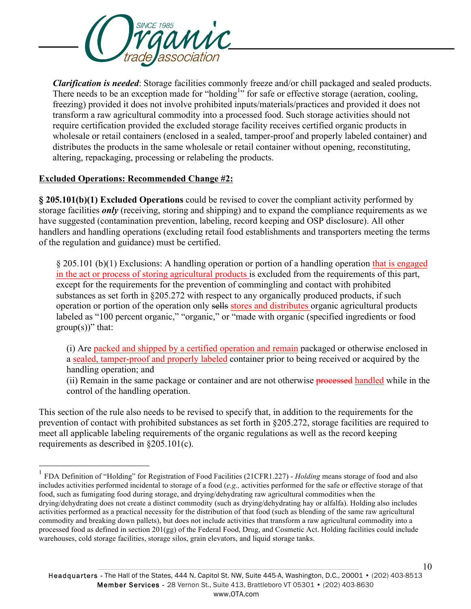

*Clarification is needed*: Storage facilities commonly freeze and/or chill packaged and sealed products. There needs to be an exception made for "holding<sup>1</sup>" for safe or effective storage (aeration, cooling, freezing) provided it does not involve prohibited inputs/materials/practices and provided it does not transform a raw agricultural commodity into a processed food. Such storage activities should not require certification provided the excluded storage facility receives certified organic products in wholesale or retail containers (enclosed in a sealed, tamper-proof and properly labeled container) and distributes the products in the same wholesale or retail container without opening, reconstituting, altering, repackaging, processing or relabeling the products.

#### **Excluded Operations: Recommended Change #2:**

**§ 205.101(b)(1) Excluded Operations** could be revised to cover the compliant activity performed by storage facilities *only* (receiving, storing and shipping) and to expand the compliance requirements as we have suggested (contamination prevention, labeling, record keeping and OSP disclosure). All other handlers and handling operations (excluding retail food establishments and transporters meeting the terms of the regulation and guidance) must be certified.

§ 205.101 (b)(1) Exclusions: A handling operation or portion of a handling operation that is engaged in the act or process of storing agricultural products is excluded from the requirements of this part, except for the requirements for the prevention of commingling and contact with prohibited substances as set forth in §205.272 with respect to any organically produced products, if such operation or portion of the operation only sells stores and distributes organic agricultural products labeled as "100 percent organic," "organic," or "made with organic (specified ingredients or food  $group(s)$ " that:

(i) Are packed and shipped by a certified operation and remain packaged or otherwise enclosed in a sealed, tamper-proof and properly labeled container prior to being received or acquired by the handling operation; and

(ii) Remain in the same package or container and are not otherwise processed handled while in the control of the handling operation.

This section of the rule also needs to be revised to specify that, in addition to the requirements for the prevention of contact with prohibited substances as set forth in §205.272, storage facilities are required to meet all applicable labeling requirements of the organic regulations as well as the record keeping requirements as described in §205.101(c).

 <sup>1</sup> FDA Definition of "Holding" for Registration of Food Facilities (21CFR1.227) - *Holding* means storage of food and also includes activities performed incidental to storage of a food (*e.g.,* activities performed for the safe or effective storage of that food, such as fumigating food during storage, and drying/dehydrating raw agricultural commodities when the drying/dehydrating does not create a distinct commodity (such as drying/dehydrating hay or alfalfa). Holding also includes activities performed as a practical necessity for the distribution of that food (such as blending of the same raw agricultural commodity and breaking down pallets), but does not include activities that transform a raw agricultural commodity into a processed food as defined in section 201(gg) of the Federal Food, Drug, and Cosmetic Act. Holding facilities could include warehouses, cold storage facilities, storage silos, grain elevators, and liquid storage tanks.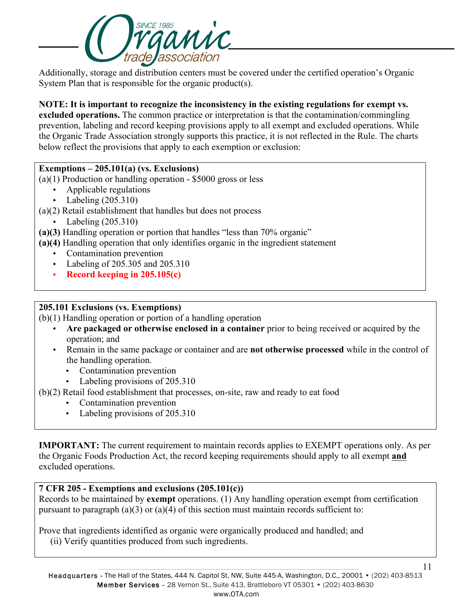

Additionally, storage and distribution centers must be covered under the certified operation's Organic System Plan that is responsible for the organic product(s).

**NOTE: It is important to recognize the inconsistency in the existing regulations for exempt vs. excluded operations.** The common practice or interpretation is that the contamination/commingling prevention, labeling and record keeping provisions apply to all exempt and excluded operations. While the Organic Trade Association strongly supports this practice, it is not reflected in the Rule. The charts below reflect the provisions that apply to each exemption or exclusion:

#### **Exemptions – 205.101(a) (vs. Exclusions)**

 $(a)(1)$  Production or handling operation - \$5000 gross or less

- Applicable regulations
- Labeling (205.310)
- (a)(2) Retail establishment that handles but does not process
	- Labeling (205.310)

**(a)(3)** Handling operation or portion that handles "less than 70% organic"

- **(a)(4)** Handling operation that only identifies organic in the ingredient statement
	- Contamination prevention
	- Labeling of 205.305 and 205.310
	- **Record keeping in 205.105(c)**

### **205.101 Exclusions (vs. Exemptions)**

(b)(1) Handling operation or portion of a handling operation

- **Are packaged or otherwise enclosed in a container** prior to being received or acquired by the operation; and
- Remain in the same package or container and are **not otherwise processed** while in the control of the handling operation.
	- Contamination prevention
	- Labeling provisions of 205.310
- (b)(2) Retail food establishment that processes, on-site, raw and ready to eat food
	- Contamination prevention
		- Labeling provisions of 205.310

**IMPORTANT:** The current requirement to maintain records applies to EXEMPT operations only. As per the Organic Foods Production Act, the record keeping requirements should apply to all exempt **and**  excluded operations.

### **7 CFR 205 - Exemptions and exclusions (205.101(c))**

Records to be maintained by **exempt** operations. (1) Any handling operation exempt from certification pursuant to paragraph (a)(3) or (a)(4) of this section must maintain records sufficient to:

Prove that ingredients identified as organic were organically produced and handled; and (ii) Verify quantities produced from such ingredients.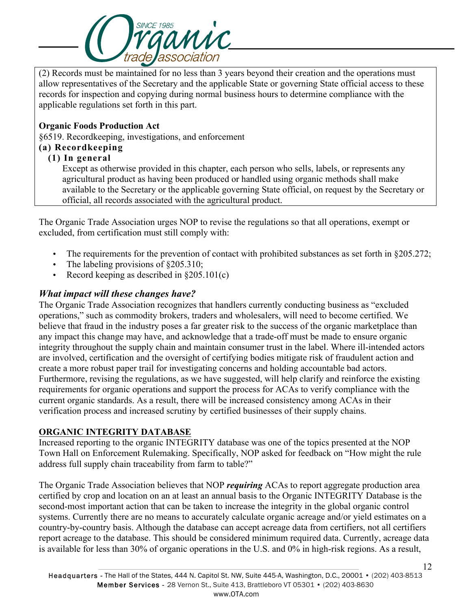

l (2) Records must be maintained for no less than 3 years beyond their creation and the operations must allow representatives of the Secretary and the applicable State or governing State official access to these records for inspection and copying during normal business hours to determine compliance with the applicable regulations set forth in this part.

#### **Organic Foods Production Act**

§6519. Recordkeeping, investigations, and enforcement

#### **(a) Recordkeeping**

#### **(1) In general**

Except as otherwise provided in this chapter, each person who sells, labels, or represents any agricultural product as having been produced or handled using organic methods shall make available to the Secretary or the applicable governing State official, on request by the Secretary or official, all records associated with the agricultural product.

The Organic Trade Association urges NOP to revise the regulations so that all operations, exempt or excluded, from certification must still comply with:

- The requirements for the prevention of contact with prohibited substances as set forth in §205.272;
- The labeling provisions of §205.310;
- Record keeping as described in  $§205.101(c)$

### *What impact will these changes have?*

The Organic Trade Association recognizes that handlers currently conducting business as "excluded operations," such as commodity brokers, traders and wholesalers, will need to become certified. We believe that fraud in the industry poses a far greater risk to the success of the organic marketplace than any impact this change may have, and acknowledge that a trade-off must be made to ensure organic integrity throughout the supply chain and maintain consumer trust in the label. Where ill-intended actors are involved, certification and the oversight of certifying bodies mitigate risk of fraudulent action and create a more robust paper trail for investigating concerns and holding accountable bad actors. Furthermore, revising the regulations, as we have suggested, will help clarify and reinforce the existing requirements for organic operations and support the process for ACAs to verify compliance with the current organic standards. As a result, there will be increased consistency among ACAs in their verification process and increased scrutiny by certified businesses of their supply chains.

#### **ORGANIC INTEGRITY DATABASE**

Increased reporting to the organic INTEGRITY database was one of the topics presented at the NOP Town Hall on Enforcement Rulemaking. Specifically, NOP asked for feedback on "How might the rule address full supply chain traceability from farm to table?"

The Organic Trade Association believes that NOP *requiring* ACAs to report aggregate production area certified by crop and location on an at least an annual basis to the Organic INTEGRITY Database is the second-most important action that can be taken to increase the integrity in the global organic control systems. Currently there are no means to accurately calculate organic acreage and/or yield estimates on a country-by-country basis. Although the database can accept acreage data from certifiers, not all certifiers report acreage to the database. This should be considered minimum required data. Currently, acreage data is available for less than 30% of organic operations in the U.S. and 0% in high-risk regions. As a result,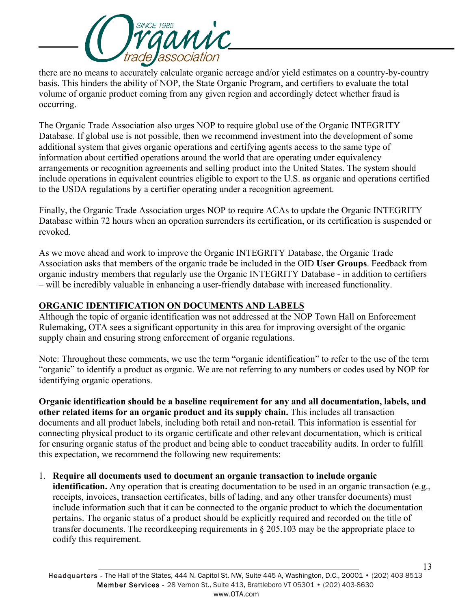

there are no means to accurately calculate organic acreage and/or yield estimates on a country-by-country basis. This hinders the ability of NOP, the State Organic Program, and certifiers to evaluate the total volume of organic product coming from any given region and accordingly detect whether fraud is occurring.

The Organic Trade Association also urges NOP to require global use of the Organic INTEGRITY Database. If global use is not possible, then we recommend investment into the development of some additional system that gives organic operations and certifying agents access to the same type of information about certified operations around the world that are operating under equivalency arrangements or recognition agreements and selling product into the United States. The system should include operations in equivalent countries eligible to export to the U.S. as organic and operations certified to the USDA regulations by a certifier operating under a recognition agreement.

Finally, the Organic Trade Association urges NOP to require ACAs to update the Organic INTEGRITY Database within 72 hours when an operation surrenders its certification, or its certification is suspended or revoked.

As we move ahead and work to improve the Organic INTEGRITY Database, the Organic Trade Association asks that members of the organic trade be included in the OID **User Groups**. Feedback from organic industry members that regularly use the Organic INTEGRITY Database - in addition to certifiers – will be incredibly valuable in enhancing a user-friendly database with increased functionality.

#### **ORGANIC IDENTIFICATION ON DOCUMENTS AND LABELS**

Although the topic of organic identification was not addressed at the NOP Town Hall on Enforcement Rulemaking, OTA sees a significant opportunity in this area for improving oversight of the organic supply chain and ensuring strong enforcement of organic regulations.

Note: Throughout these comments, we use the term "organic identification" to refer to the use of the term "organic" to identify a product as organic. We are not referring to any numbers or codes used by NOP for identifying organic operations.

**Organic identification should be a baseline requirement for any and all documentation, labels, and other related items for an organic product and its supply chain.** This includes all transaction documents and all product labels, including both retail and non-retail. This information is essential for connecting physical product to its organic certificate and other relevant documentation, which is critical for ensuring organic status of the product and being able to conduct traceability audits. In order to fulfill this expectation, we recommend the following new requirements:

#### 1. **Require all documents used to document an organic transaction to include organic**

**identification.** Any operation that is creating documentation to be used in an organic transaction (e.g., receipts, invoices, transaction certificates, bills of lading, and any other transfer documents) must include information such that it can be connected to the organic product to which the documentation pertains. The organic status of a product should be explicitly required and recorded on the title of transfer documents. The recordkeeping requirements in § 205.103 may be the appropriate place to codify this requirement.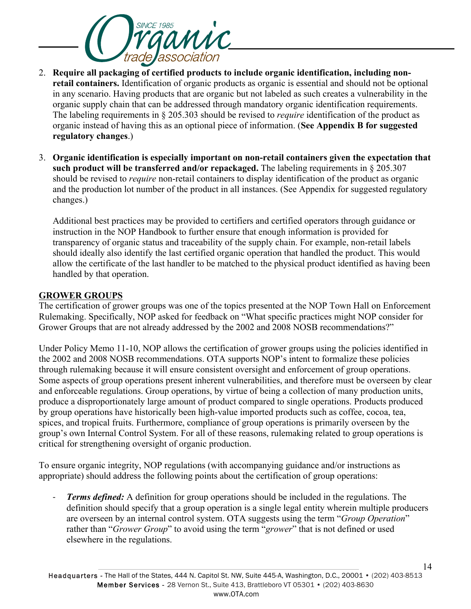

- 2. **Require all packaging of certified products to include organic identification, including nonretail containers.** Identification of organic products as organic is essential and should not be optional in any scenario. Having products that are organic but not labeled as such creates a vulnerability in the organic supply chain that can be addressed through mandatory organic identification requirements. The labeling requirements in § 205.303 should be revised to *require* identification of the product as organic instead of having this as an optional piece of information. (**See Appendix B for suggested regulatory changes**.)
- 3. **Organic identification is especially important on non-retail containers given the expectation that such product will be transferred and/or repackaged.** The labeling requirements in § 205.307 should be revised to *require* non-retail containers to display identification of the product as organic and the production lot number of the product in all instances. (See Appendix for suggested regulatory changes.)

Additional best practices may be provided to certifiers and certified operators through guidance or instruction in the NOP Handbook to further ensure that enough information is provided for transparency of organic status and traceability of the supply chain. For example, non-retail labels should ideally also identify the last certified organic operation that handled the product. This would allow the certificate of the last handler to be matched to the physical product identified as having been handled by that operation.

#### **GROWER GROUPS**

The certification of grower groups was one of the topics presented at the NOP Town Hall on Enforcement Rulemaking. Specifically, NOP asked for feedback on "What specific practices might NOP consider for Grower Groups that are not already addressed by the 2002 and 2008 NOSB recommendations?"

Under Policy Memo 11-10, NOP allows the certification of grower groups using the policies identified in the 2002 and 2008 NOSB recommendations. OTA supports NOP's intent to formalize these policies through rulemaking because it will ensure consistent oversight and enforcement of group operations. Some aspects of group operations present inherent vulnerabilities, and therefore must be overseen by clear and enforceable regulations. Group operations, by virtue of being a collection of many production units, produce a disproportionately large amount of product compared to single operations. Products produced by group operations have historically been high-value imported products such as coffee, cocoa, tea, spices, and tropical fruits. Furthermore, compliance of group operations is primarily overseen by the group's own Internal Control System. For all of these reasons, rulemaking related to group operations is critical for strengthening oversight of organic production.

To ensure organic integrity, NOP regulations (with accompanying guidance and/or instructions as appropriate) should address the following points about the certification of group operations:

- *Terms defined:* A definition for group operations should be included in the regulations. The definition should specify that a group operation is a single legal entity wherein multiple producers are overseen by an internal control system. OTA suggests using the term "*Group Operation*" rather than "*Grower Group*" to avoid using the term "*grower*" that is not defined or used elsewhere in the regulations.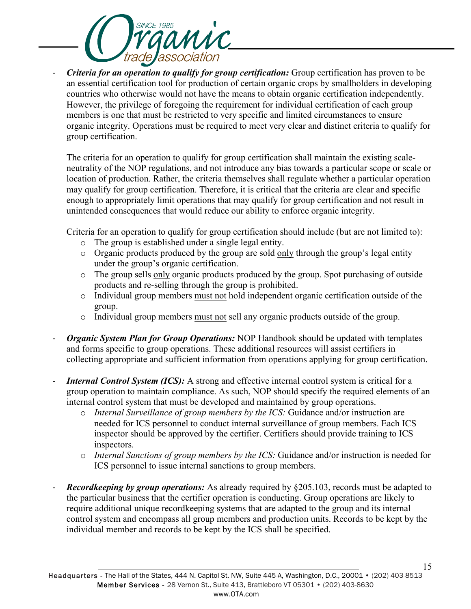

- *Criteria for an operation to qualify for group certification:* Group certification has proven to be an essential certification tool for production of certain organic crops by smallholders in developing countries who otherwise would not have the means to obtain organic certification independently. However, the privilege of foregoing the requirement for individual certification of each group members is one that must be restricted to very specific and limited circumstances to ensure organic integrity. Operations must be required to meet very clear and distinct criteria to qualify for group certification.

The criteria for an operation to qualify for group certification shall maintain the existing scaleneutrality of the NOP regulations, and not introduce any bias towards a particular scope or scale or location of production. Rather, the criteria themselves shall regulate whether a particular operation may qualify for group certification. Therefore, it is critical that the criteria are clear and specific enough to appropriately limit operations that may qualify for group certification and not result in unintended consequences that would reduce our ability to enforce organic integrity.

Criteria for an operation to qualify for group certification should include (but are not limited to):

- o The group is established under a single legal entity.
- o Organic products produced by the group are sold only through the group's legal entity under the group's organic certification.
- o The group sells only organic products produced by the group. Spot purchasing of outside products and re-selling through the group is prohibited.
- o Individual group members must not hold independent organic certification outside of the group.
- o Individual group members must not sell any organic products outside of the group.
- *Organic System Plan for Group Operations:* NOP Handbook should be updated with templates and forms specific to group operations. These additional resources will assist certifiers in collecting appropriate and sufficient information from operations applying for group certification.
- *Internal Control System (ICS):* A strong and effective internal control system is critical for a group operation to maintain compliance. As such, NOP should specify the required elements of an internal control system that must be developed and maintained by group operations.
	- o *Internal Surveillance of group members by the ICS:* Guidance and/or instruction are needed for ICS personnel to conduct internal surveillance of group members. Each ICS inspector should be approved by the certifier. Certifiers should provide training to ICS inspectors.
	- o *Internal Sanctions of group members by the ICS:* Guidance and/or instruction is needed for ICS personnel to issue internal sanctions to group members.
- *Recordkeeping by group operations:* As already required by §205.103, records must be adapted to the particular business that the certifier operation is conducting. Group operations are likely to require additional unique recordkeeping systems that are adapted to the group and its internal control system and encompass all group members and production units. Records to be kept by the individual member and records to be kept by the ICS shall be specified.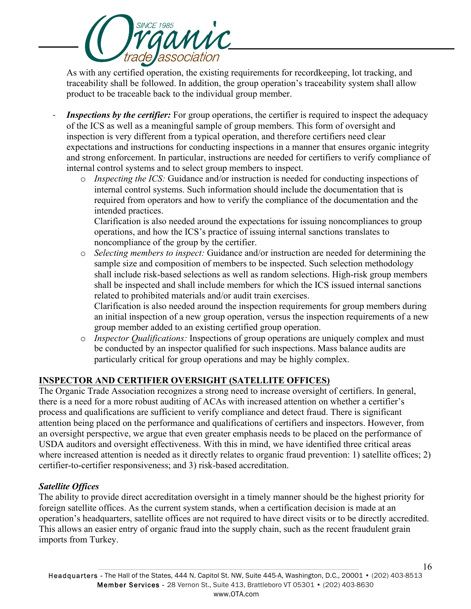imic ade association As with any certified operation, the existing requirements for recordkeeping, lot tracking, and traceability shall be followed. In addition, the group operation's traceability system shall allow product to be traceable back to the individual group member.

**SINCE 1985** 

- *Inspections by the certifier:* For group operations, the certifier is required to inspect the adequacy of the ICS as well as a meaningful sample of group members. This form of oversight and inspection is very different from a typical operation, and therefore certifiers need clear expectations and instructions for conducting inspections in a manner that ensures organic integrity and strong enforcement. In particular, instructions are needed for certifiers to verify compliance of internal control systems and to select group members to inspect.
	- o *Inspecting the ICS:* Guidance and/or instruction is needed for conducting inspections of internal control systems. Such information should include the documentation that is required from operators and how to verify the compliance of the documentation and the intended practices.

Clarification is also needed around the expectations for issuing noncompliances to group operations, and how the ICS's practice of issuing internal sanctions translates to noncompliance of the group by the certifier.

o *Selecting members to inspect:* Guidance and/or instruction are needed for determining the sample size and composition of members to be inspected. Such selection methodology shall include risk-based selections as well as random selections. High-risk group members shall be inspected and shall include members for which the ICS issued internal sanctions related to prohibited materials and/or audit train exercises.

Clarification is also needed around the inspection requirements for group members during an initial inspection of a new group operation, versus the inspection requirements of a new group member added to an existing certified group operation.

o *Inspector Qualifications:* Inspections of group operations are uniquely complex and must be conducted by an inspector qualified for such inspections. Mass balance audits are particularly critical for group operations and may be highly complex.

## **INSPECTOR AND CERTIFIER OVERSIGHT (SATELLITE OFFICES)**

The Organic Trade Association recognizes a strong need to increase oversight of certifiers. In general, there is a need for a more robust auditing of ACAs with increased attention on whether a certifier's process and qualifications are sufficient to verify compliance and detect fraud. There is significant attention being placed on the performance and qualifications of certifiers and inspectors. However, from an oversight perspective, we argue that even greater emphasis needs to be placed on the performance of USDA auditors and oversight effectiveness. With this in mind, we have identified three critical areas where increased attention is needed as it directly relates to organic fraud prevention: 1) satellite offices; 2) certifier-to-certifier responsiveness; and 3) risk-based accreditation.

### *Satellite Offices*

The ability to provide direct accreditation oversight in a timely manner should be the highest priority for foreign satellite offices. As the current system stands, when a certification decision is made at an operation's headquarters, satellite offices are not required to have direct visits or to be directly accredited. This allows an easier entry of organic fraud into the supply chain, such as the recent fraudulent grain imports from Turkey.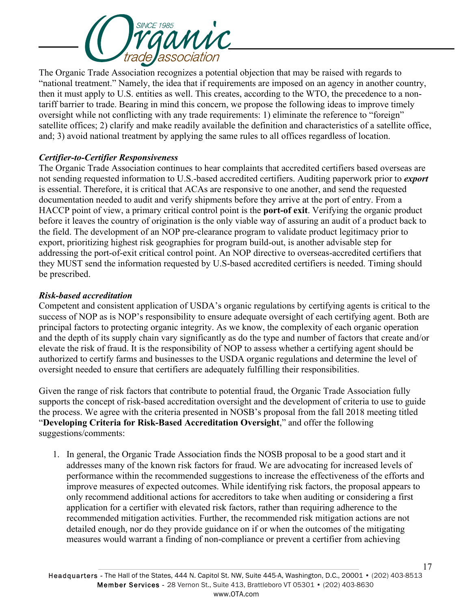

The Organic Trade Association recognizes a potential objection that may be raised with regards to "national treatment." Namely, the idea that if requirements are imposed on an agency in another country, then it must apply to U.S. entities as well. This creates, according to the WTO, the precedence to a nontariff barrier to trade. Bearing in mind this concern, we propose the following ideas to improve timely oversight while not conflicting with any trade requirements: 1) eliminate the reference to "foreign" satellite offices; 2) clarify and make readily available the definition and characteristics of a satellite office, and; 3) avoid national treatment by applying the same rules to all offices regardless of location.

#### *Certifier-to-Certifier Responsiveness*

The Organic Trade Association continues to hear complaints that accredited certifiers based overseas are not sending requested information to U.S.-based accredited certifiers. Auditing paperwork prior to *export* is essential. Therefore, it is critical that ACAs are responsive to one another, and send the requested documentation needed to audit and verify shipments before they arrive at the port of entry. From a HACCP point of view, a primary critical control point is the **port-of exit**. Verifying the organic product before it leaves the country of origination is the only viable way of assuring an audit of a product back to the field. The development of an NOP pre-clearance program to validate product legitimacy prior to export, prioritizing highest risk geographies for program build-out, is another advisable step for addressing the port-of-exit critical control point. An NOP directive to overseas-accredited certifiers that they MUST send the information requested by U.S-based accredited certifiers is needed. Timing should be prescribed.

#### *Risk-based accreditation*

Competent and consistent application of USDA's organic regulations by certifying agents is critical to the success of NOP as is NOP's responsibility to ensure adequate oversight of each certifying agent. Both are principal factors to protecting organic integrity. As we know, the complexity of each organic operation and the depth of its supply chain vary significantly as do the type and number of factors that create and/or elevate the risk of fraud. It is the responsibility of NOP to assess whether a certifying agent should be authorized to certify farms and businesses to the USDA organic regulations and determine the level of oversight needed to ensure that certifiers are adequately fulfilling their responsibilities.

Given the range of risk factors that contribute to potential fraud, the Organic Trade Association fully supports the concept of risk-based accreditation oversight and the development of criteria to use to guide the process. We agree with the criteria presented in NOSB's proposal from the fall 2018 meeting titled "**Developing Criteria for Risk-Based Accreditation Oversight**," and offer the following suggestions/comments:

1. In general, the Organic Trade Association finds the NOSB proposal to be a good start and it addresses many of the known risk factors for fraud. We are advocating for increased levels of performance within the recommended suggestions to increase the effectiveness of the efforts and improve measures of expected outcomes. While identifying risk factors, the proposal appears to only recommend additional actions for accreditors to take when auditing or considering a first application for a certifier with elevated risk factors, rather than requiring adherence to the recommended mitigation activities. Further, the recommended risk mitigation actions are not detailed enough, nor do they provide guidance on if or when the outcomes of the mitigating measures would warrant a finding of non-compliance or prevent a certifier from achieving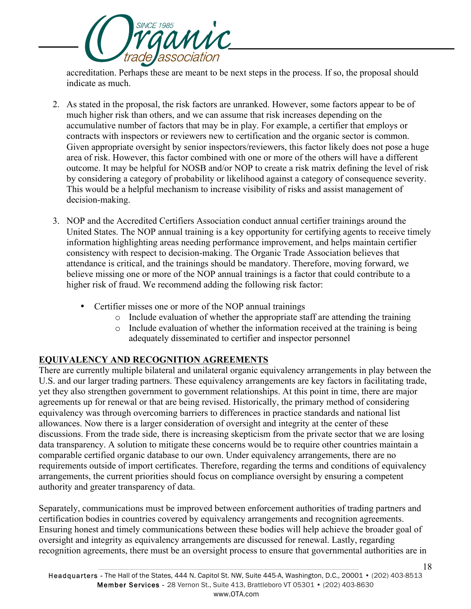

accreditation. Perhaps these are meant to be next steps in the process. If so, the proposal should indicate as much.

- 2. As stated in the proposal, the risk factors are unranked. However, some factors appear to be of much higher risk than others, and we can assume that risk increases depending on the accumulative number of factors that may be in play. For example, a certifier that employs or contracts with inspectors or reviewers new to certification and the organic sector is common. Given appropriate oversight by senior inspectors/reviewers, this factor likely does not pose a huge area of risk. However, this factor combined with one or more of the others will have a different outcome. It may be helpful for NOSB and/or NOP to create a risk matrix defining the level of risk by considering a category of probability or likelihood against a category of consequence severity. This would be a helpful mechanism to increase visibility of risks and assist management of decision-making.
- 3. NOP and the Accredited Certifiers Association conduct annual certifier trainings around the United States. The NOP annual training is a key opportunity for certifying agents to receive timely information highlighting areas needing performance improvement, and helps maintain certifier consistency with respect to decision-making. The Organic Trade Association believes that attendance is critical, and the trainings should be mandatory. Therefore, moving forward, we believe missing one or more of the NOP annual trainings is a factor that could contribute to a higher risk of fraud. We recommend adding the following risk factor:
	- Certifier misses one or more of the NOP annual trainings
		- o Include evaluation of whether the appropriate staff are attending the training
		- o Include evaluation of whether the information received at the training is being adequately disseminated to certifier and inspector personnel

## **EQUIVALENCY AND RECOGNITION AGREEMENTS**

There are currently multiple bilateral and unilateral organic equivalency arrangements in play between the U.S. and our larger trading partners. These equivalency arrangements are key factors in facilitating trade, yet they also strengthen government to government relationships. At this point in time, there are major agreements up for renewal or that are being revised. Historically, the primary method of considering equivalency was through overcoming barriers to differences in practice standards and national list allowances. Now there is a larger consideration of oversight and integrity at the center of these discussions. From the trade side, there is increasing skepticism from the private sector that we are losing data transparency. A solution to mitigate these concerns would be to require other countries maintain a comparable certified organic database to our own. Under equivalency arrangements, there are no requirements outside of import certificates. Therefore, regarding the terms and conditions of equivalency arrangements, the current priorities should focus on compliance oversight by ensuring a competent authority and greater transparency of data.

Separately, communications must be improved between enforcement authorities of trading partners and certification bodies in countries covered by equivalency arrangements and recognition agreements. Ensuring honest and timely communications between these bodies will help achieve the broader goal of oversight and integrity as equivalency arrangements are discussed for renewal. Lastly, regarding recognition agreements, there must be an oversight process to ensure that governmental authorities are in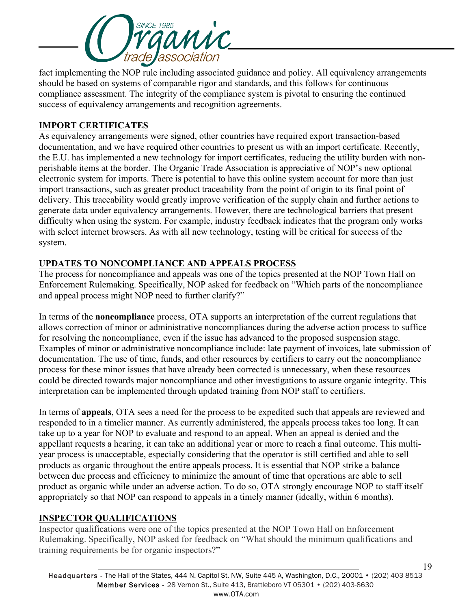

fact implementing the NOP rule including associated guidance and policy. All equivalency arrangements should be based on systems of comparable rigor and standards, and this follows for continuous compliance assessment. The integrity of the compliance system is pivotal to ensuring the continued success of equivalency arrangements and recognition agreements.

#### **IMPORT CERTIFICATES**

As equivalency arrangements were signed, other countries have required export transaction-based documentation, and we have required other countries to present us with an import certificate. Recently, the E.U. has implemented a new technology for import certificates, reducing the utility burden with nonperishable items at the border. The Organic Trade Association is appreciative of NOP's new optional electronic system for imports. There is potential to have this online system account for more than just import transactions, such as greater product traceability from the point of origin to its final point of delivery. This traceability would greatly improve verification of the supply chain and further actions to generate data under equivalency arrangements. However, there are technological barriers that present difficulty when using the system. For example, industry feedback indicates that the program only works with select internet browsers. As with all new technology, testing will be critical for success of the system.

#### **UPDATES TO NONCOMPLIANCE AND APPEALS PROCESS**

The process for noncompliance and appeals was one of the topics presented at the NOP Town Hall on Enforcement Rulemaking. Specifically, NOP asked for feedback on "Which parts of the noncompliance and appeal process might NOP need to further clarify?"

In terms of the **noncompliance** process, OTA supports an interpretation of the current regulations that allows correction of minor or administrative noncompliances during the adverse action process to suffice for resolving the noncompliance, even if the issue has advanced to the proposed suspension stage. Examples of minor or administrative noncompliance include: late payment of invoices, late submission of documentation. The use of time, funds, and other resources by certifiers to carry out the noncompliance process for these minor issues that have already been corrected is unnecessary, when these resources could be directed towards major noncompliance and other investigations to assure organic integrity. This interpretation can be implemented through updated training from NOP staff to certifiers.

In terms of **appeals**, OTA sees a need for the process to be expedited such that appeals are reviewed and responded to in a timelier manner. As currently administered, the appeals process takes too long. It can take up to a year for NOP to evaluate and respond to an appeal. When an appeal is denied and the appellant requests a hearing, it can take an additional year or more to reach a final outcome. This multiyear process is unacceptable, especially considering that the operator is still certified and able to sell products as organic throughout the entire appeals process. It is essential that NOP strike a balance between due process and efficiency to minimize the amount of time that operations are able to sell product as organic while under an adverse action. To do so, OTA strongly encourage NOP to staff itself appropriately so that NOP can respond to appeals in a timely manner (ideally, within 6 months).

#### **INSPECTOR QUALIFICATIONS**

Inspector qualifications were one of the topics presented at the NOP Town Hall on Enforcement Rulemaking. Specifically, NOP asked for feedback on "What should the minimum qualifications and training requirements be for organic inspectors?"

19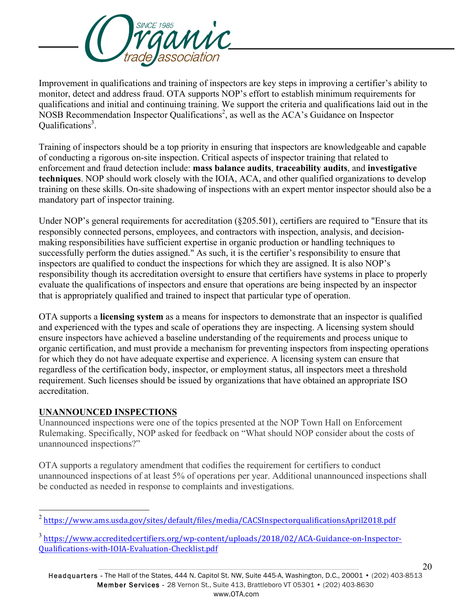

Improvement in qualifications and training of inspectors are key steps in improving a certifier's ability to monitor, detect and address fraud. OTA supports NOP's effort to establish minimum requirements for qualifications and initial and continuing training. We support the criteria and qualifications laid out in the  $NOSB$  Recommendation Inspector Qualifications<sup>2</sup>, as well as the ACA's Guidance on Inspector Qualifications<sup>3</sup>.

Training of inspectors should be a top priority in ensuring that inspectors are knowledgeable and capable of conducting a rigorous on-site inspection. Critical aspects of inspector training that related to enforcement and fraud detection include: **mass balance audits**, **traceability audits**, and **investigative techniques**. NOP should work closely with the IOIA, ACA, and other qualified organizations to develop training on these skills. On-site shadowing of inspections with an expert mentor inspector should also be a mandatory part of inspector training.

Under NOP's general requirements for accreditation (\$205.501), certifiers are required to "Ensure that its responsibly connected persons, employees, and contractors with inspection, analysis, and decisionmaking responsibilities have sufficient expertise in organic production or handling techniques to successfully perform the duties assigned." As such, it is the certifier's responsibility to ensure that inspectors are qualified to conduct the inspections for which they are assigned. It is also NOP's responsibility though its accreditation oversight to ensure that certifiers have systems in place to properly evaluate the qualifications of inspectors and ensure that operations are being inspected by an inspector that is appropriately qualified and trained to inspect that particular type of operation.

OTA supports a **licensing system** as a means for inspectors to demonstrate that an inspector is qualified and experienced with the types and scale of operations they are inspecting. A licensing system should ensure inspectors have achieved a baseline understanding of the requirements and process unique to organic certification, and must provide a mechanism for preventing inspectors from inspecting operations for which they do not have adequate expertise and experience. A licensing system can ensure that regardless of the certification body, inspector, or employment status, all inspectors meet a threshold requirement. Such licenses should be issued by organizations that have obtained an appropriate ISO accreditation.

#### **UNANNOUNCED INSPECTIONS**

Unannounced inspections were one of the topics presented at the NOP Town Hall on Enforcement Rulemaking. Specifically, NOP asked for feedback on "What should NOP consider about the costs of unannounced inspections?"

OTA supports a regulatory amendment that codifies the requirement for certifiers to conduct unannounced inspections of at least 5% of operations per year. Additional unannounced inspections shall be conducted as needed in response to complaints and investigations.

 <sup>2</sup> https://www.ams.usda.gov/sites/default/files/media/CACSInspectorqualificationsApril2018.pdf

<sup>3</sup> https://www.accreditedcertifiers.org/wp-content/uploads/2018/02/ACA-Guidance-on-Inspector-Qualifications-with-IOIA-Evaluation-Checklist.pdf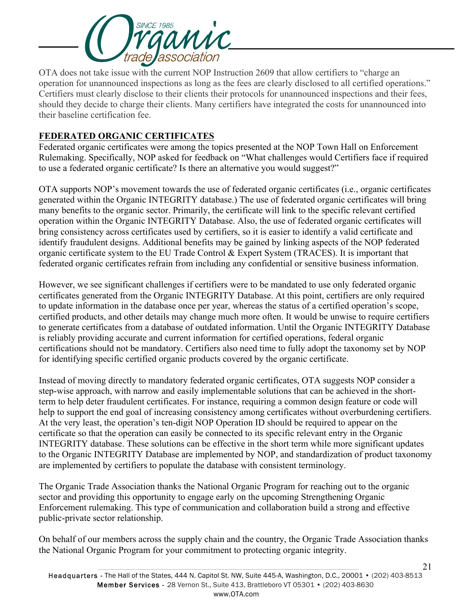

OTA does not take issue with the current NOP Instruction 2609 that allow certifiers to "charge an operation for unannounced inspections as long as the fees are clearly disclosed to all certified operations." Certifiers must clearly disclose to their clients their protocols for unannounced inspections and their fees, should they decide to charge their clients. Many certifiers have integrated the costs for unannounced into their baseline certification fee.

### **FEDERATED ORGANIC CERTIFICATES**

Federated organic certificates were among the topics presented at the NOP Town Hall on Enforcement Rulemaking. Specifically, NOP asked for feedback on "What challenges would Certifiers face if required to use a federated organic certificate? Is there an alternative you would suggest?"

OTA supports NOP's movement towards the use of federated organic certificates (i.e., organic certificates generated within the Organic INTEGRITY database.) The use of federated organic certificates will bring many benefits to the organic sector. Primarily, the certificate will link to the specific relevant certified operation within the Organic INTEGRITY Database. Also, the use of federated organic certificates will bring consistency across certificates used by certifiers, so it is easier to identify a valid certificate and identify fraudulent designs. Additional benefits may be gained by linking aspects of the NOP federated organic certificate system to the EU Trade Control & Expert System (TRACES). It is important that federated organic certificates refrain from including any confidential or sensitive business information.

However, we see significant challenges if certifiers were to be mandated to use only federated organic certificates generated from the Organic INTEGRITY Database. At this point, certifiers are only required to update information in the database once per year, whereas the status of a certified operation's scope, certified products, and other details may change much more often. It would be unwise to require certifiers to generate certificates from a database of outdated information. Until the Organic INTEGRITY Database is reliably providing accurate and current information for certified operations, federal organic certifications should not be mandatory. Certifiers also need time to fully adopt the taxonomy set by NOP for identifying specific certified organic products covered by the organic certificate.

Instead of moving directly to mandatory federated organic certificates, OTA suggests NOP consider a step-wise approach, with narrow and easily implementable solutions that can be achieved in the shortterm to help deter fraudulent certificates. For instance, requiring a common design feature or code will help to support the end goal of increasing consistency among certificates without overburdening certifiers. At the very least, the operation's ten-digit NOP Operation ID should be required to appear on the certificate so that the operation can easily be connected to its specific relevant entry in the Organic INTEGRITY database. These solutions can be effective in the short term while more significant updates to the Organic INTEGRITY Database are implemented by NOP, and standardization of product taxonomy are implemented by certifiers to populate the database with consistent terminology.

The Organic Trade Association thanks the National Organic Program for reaching out to the organic sector and providing this opportunity to engage early on the upcoming Strengthening Organic Enforcement rulemaking. This type of communication and collaboration build a strong and effective public-private sector relationship.

On behalf of our members across the supply chain and the country, the Organic Trade Association thanks the National Organic Program for your commitment to protecting organic integrity.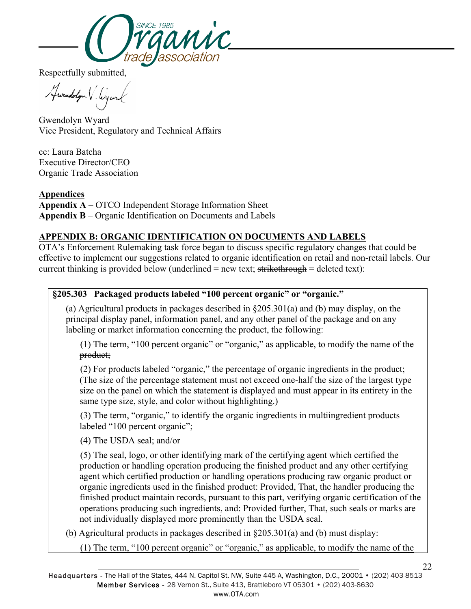

Respectfully submitted,

Hwendologn V. Wyard

Gwendolyn Wyard Vice President, Regulatory and Technical Affairs

cc: Laura Batcha Executive Director/CEO Organic Trade Association

#### **Appendices**

**Appendix A** – OTCO Independent Storage Information Sheet **Appendix B** – Organic Identification on Documents and Labels

#### **APPENDIX B: ORGANIC IDENTIFICATION ON DOCUMENTS AND LABELS**

OTA's Enforcement Rulemaking task force began to discuss specific regulatory changes that could be effective to implement our suggestions related to organic identification on retail and non-retail labels. Our current thinking is provided below (underlined  $=$  new text; strikethrough  $=$  deleted text):

#### **§205.303 Packaged products labeled "100 percent organic" or "organic."**

(a) Agricultural products in packages described in §205.301(a) and (b) may display, on the principal display panel, information panel, and any other panel of the package and on any labeling or market information concerning the product, the following:

#### (1) The term, "100 percent organic" or "organic," as applicable, to modify the name of the product;

(2) For products labeled "organic," the percentage of organic ingredients in the product; (The size of the percentage statement must not exceed one-half the size of the largest type size on the panel on which the statement is displayed and must appear in its entirety in the same type size, style, and color without highlighting.)

(3) The term, "organic," to identify the organic ingredients in multiingredient products labeled "100 percent organic";

(4) The USDA seal; and/or

(5) The seal, logo, or other identifying mark of the certifying agent which certified the production or handling operation producing the finished product and any other certifying agent which certified production or handling operations producing raw organic product or organic ingredients used in the finished product: Provided, That, the handler producing the finished product maintain records, pursuant to this part, verifying organic certification of the operations producing such ingredients, and: Provided further, That, such seals or marks are not individually displayed more prominently than the USDA seal.

(b) Agricultural products in packages described in §205.301(a) and (b) must display:

(1) The term, "100 percent organic" or "organic," as applicable, to modify the name of the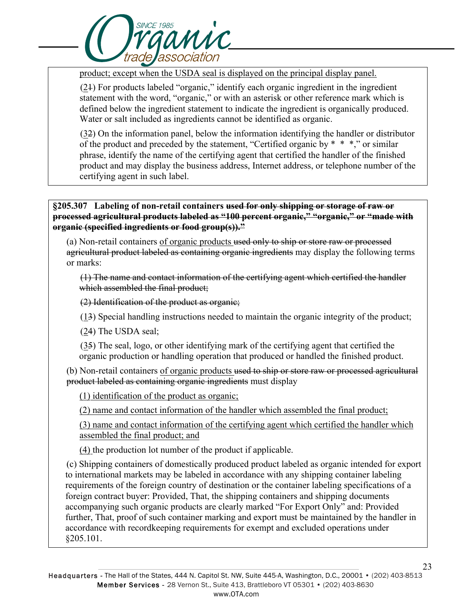

product; except when the USDA seal is displayed on the principal display panel.

(21) For products labeled "organic," identify each organic ingredient in the ingredient statement with the word, "organic," or with an asterisk or other reference mark which is defined below the ingredient statement to indicate the ingredient is organically produced. Water or salt included as ingredients cannot be identified as organic.

(32) On the information panel, below the information identifying the handler or distributor of the product and preceded by the statement, "Certified organic by  $* * *$ " or similar phrase, identify the name of the certifying agent that certified the handler of the finished product and may display the business address, Internet address, or telephone number of the certifying agent in such label.

**§205.307 Labeling of non-retail containers used for only shipping or storage of raw or processed agricultural products labeled as "100 percent organic," "organic," or "made with organic (specified ingredients or food group(s))."**

(a) Non-retail containers of organic products used only to ship or store raw or processed agricultural product labeled as containing organic ingredients may display the following terms or marks:

(1) The name and contact information of the certifying agent which certified the handler which assembled the final product;

(2) Identification of the product as organic;

(13) Special handling instructions needed to maintain the organic integrity of the product;

(24) The USDA seal;

(35) The seal, logo, or other identifying mark of the certifying agent that certified the organic production or handling operation that produced or handled the finished product.

(b) Non-retail containers of organic products used to ship or store raw or processed agricultural product labeled as containing organic ingredients must display

(1) identification of the product as organic;

(2) name and contact information of the handler which assembled the final product;

(3) name and contact information of the certifying agent which certified the handler which assembled the final product; and

(4) the production lot number of the product if applicable.

(c) Shipping containers of domestically produced product labeled as organic intended for export to international markets may be labeled in accordance with any shipping container labeling requirements of the foreign country of destination or the container labeling specifications of a foreign contract buyer: Provided, That, the shipping containers and shipping documents accompanying such organic products are clearly marked "For Export Only" and: Provided further, That, proof of such container marking and export must be maintained by the handler in accordance with recordkeeping requirements for exempt and excluded operations under §205.101.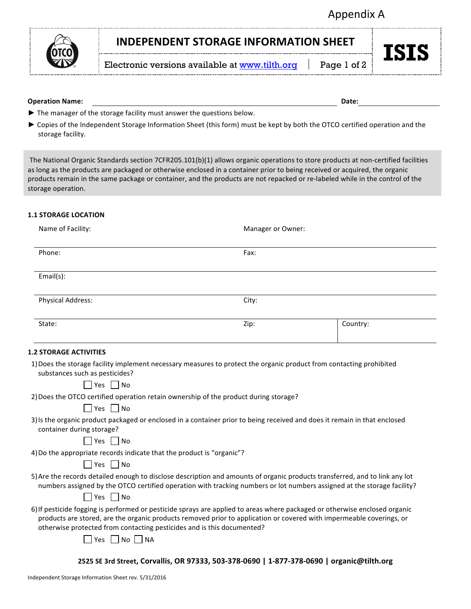## Appendix A

## **INDEPENDENT STORAGE INFORMATION SHEET**<br> **ISIS**<br>
Page 1 of 2

Electronic versions available at <u>www.tilth.org</u> Page 1 of 2

**Operation Name: Date: Date: Date: Date: Date: Date: Date: Date: Date: Date: Date: Date: Date: Date: Date: Date: Date: Date: Date: Date: Date: Date: Date: Date: Date: Dat** 

- $\blacktriangleright$  The manager of the storage facility must answer the questions below.
- ► Copies of the Independent Storage Information Sheet (this form) must be kept by both the OTCO certified operation and the storage facility.

The National Organic Standards section 7CFR205.101(b)(1) allows organic operations to store products at non-certified facilities as long as the products are packaged or otherwise enclosed in a container prior to being received or acquired, the organic products remain in the same package or container, and the products are not repacked or re-labeled while in the control of the storage operation.

#### **1.1 STORAGE LOCATION**

| Name of Facility:                                                                       | Manager or Owner:                                                                                                                                                                                                                                      |          |  |
|-----------------------------------------------------------------------------------------|--------------------------------------------------------------------------------------------------------------------------------------------------------------------------------------------------------------------------------------------------------|----------|--|
| Phone:                                                                                  | Fax:                                                                                                                                                                                                                                                   |          |  |
| Email(s):                                                                               |                                                                                                                                                                                                                                                        |          |  |
| <b>Physical Address:</b>                                                                | City:                                                                                                                                                                                                                                                  |          |  |
| State:                                                                                  | Zip:                                                                                                                                                                                                                                                   | Country: |  |
| <b>1.2 STORAGE ACTIVITIES</b>                                                           |                                                                                                                                                                                                                                                        |          |  |
| substances such as pesticides?                                                          | 1) Does the storage facility implement necessary measures to protect the organic product from contacting prohibited                                                                                                                                    |          |  |
| $\Box$ Yes $\Box$ No                                                                    |                                                                                                                                                                                                                                                        |          |  |
| 2) Does the OTCO certified operation retain ownership of the product during storage?    |                                                                                                                                                                                                                                                        |          |  |
| $\bigcap$ Yes $\bigcap$ No                                                              |                                                                                                                                                                                                                                                        |          |  |
| container during storage?                                                               | 3) Is the organic product packaged or enclosed in a container prior to being received and does it remain in that enclosed                                                                                                                              |          |  |
| $\Box$ Yes $\Box$ No                                                                    |                                                                                                                                                                                                                                                        |          |  |
| 4) Do the appropriate records indicate that the product is "organic"?                   |                                                                                                                                                                                                                                                        |          |  |
| $\bigcap$ Yes $\bigcap$ No                                                              |                                                                                                                                                                                                                                                        |          |  |
| $\Box$ Yes $\Box$ No                                                                    | 5) Are the records detailed enough to disclose description and amounts of organic products transferred, and to link any lot<br>numbers assigned by the OTCO certified operation with tracking numbers or lot numbers assigned at the storage facility? |          |  |
| otherwise protected from contacting pesticides and is this documented?<br>Yes □ No □ NA | 6) If pesticide fogging is performed or pesticide sprays are applied to areas where packaged or otherwise enclosed organic<br>products are stored, are the organic products removed prior to application or covered with impermeable coverings, or     |          |  |
|                                                                                         | 2525 SE 3rd Street, Corvallis, OR 97333, 503-378-0690   1-877-378-0690   organic@tilth.org                                                                                                                                                             |          |  |